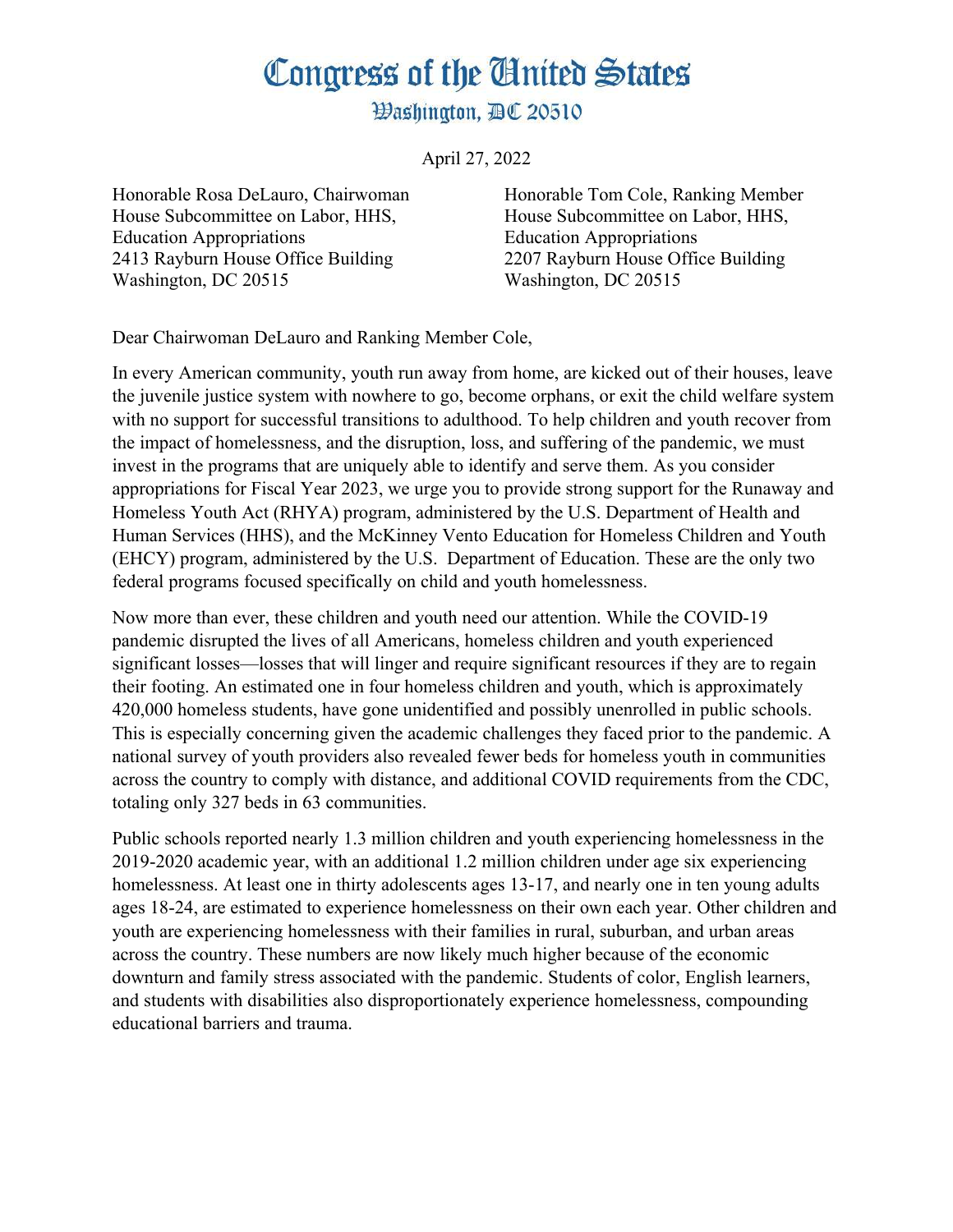## Congress of the Ginited States

**Washington, AC 20510** 

April 27, 2022

House Subcommittee on Labor, HHS, House Subcommittee on Labor, HHS, Education Appropriations Education Appropriations 2413 Rayburn House Office Building 2207 Rayburn House Office Building Washington, DC 20515 Washington, DC 20515

Honorable Rosa DeLauro, Chairwoman Honorable Tom Cole, Ranking Member

Dear Chairwoman DeLauro and Ranking Member Cole,

In every American community, youth run away from home, are kicked out of their houses, leave the juvenile justice system with nowhere to go, become orphans, or exit the child welfare system with no support for successful transitions to adulthood. To help children and youth recover from the impact of homelessness, and the disruption, loss, and suffering of the pandemic, we must invest in the programs that are uniquely able to identify and serve them. As you consider appropriations for Fiscal Year 2023, we urge you to provide strong support for the Runaway and Homeless Youth Act (RHYA) program, administered by the U.S. Department of Health and Human Services (HHS), and the McKinney Vento Education for Homeless Children and Youth (EHCY) program, administered by the U.S. Department of Education. These are the only two federal programs focused specifically on child and youth homelessness.

Now more than ever, these children and youth need our attention. While the COVID-19 pandemic disrupted the lives of all Americans, homeless children and youth experienced significant losses—losses that will linger and require significant resources if they are to regain their footing. An estimated one in four homeless children and youth, which is approximately 420,000 homeless students, have gone unidentified and possibly unenrolled in public schools. This is especially concerning given the academic challenges they faced prior to the pandemic. A national survey of youth providers also revealed fewer beds for homeless youth in communities across the country to comply with distance, and additional COVID requirements from the CDC, totaling only 327 beds in 63 communities.

Public schools reported nearly 1.3 million children and youth experiencing homelessness in the 2019-2020 academic year, with an additional 1.2 million children under age six experiencing homelessness. At least one in thirty adolescents ages 13-17, and nearly one in ten young adults ages 18-24, are estimated to experience homelessness on their own each year. Other children and youth are experiencing homelessness with their families in rural, suburban, and urban areas across the country. These numbers are now likely much higher because of the economic downturn and family stress associated with the pandemic. Students of color, English learners, and students with disabilities also disproportionately experience homelessness, compounding educational barriers and trauma.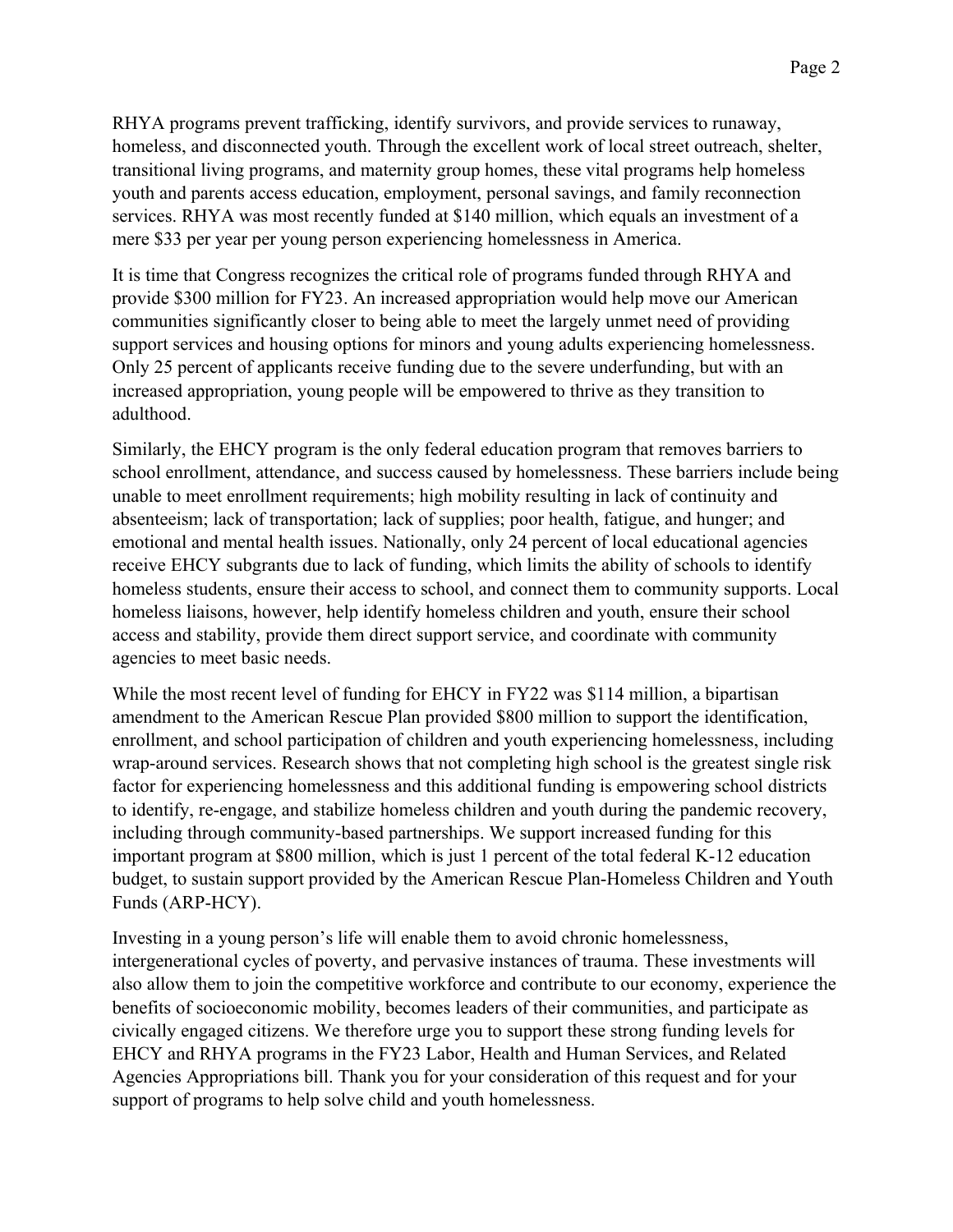RHYA programs prevent trafficking, identify survivors, and provide services to runaway, homeless, and disconnected youth. Through the excellent work of local street outreach, shelter, transitional living programs, and maternity group homes, these vital programs help homeless youth and parents access education, employment, personal savings, and family reconnection services. RHYA was most recently funded at \$140 million, which equals an investment of a mere \$33 per year per young person experiencing homelessness in America.

It is time that Congress recognizes the critical role of programs funded through RHYA and provide \$300 million for FY23. An increased appropriation would help move our American communities significantly closer to being able to meet the largely unmet need of providing support services and housing options for minors and young adults experiencing homelessness. Only 25 percent of applicants receive funding due to the severe underfunding, but with an increased appropriation, young people will be empowered to thrive as they transition to adulthood.

Similarly, the EHCY program is the only federal education program that removes barriers to school enrollment, attendance, and success caused by homelessness. These barriers include being unable to meet enrollment requirements; high mobility resulting in lack of continuity and absenteeism; lack of transportation; lack of supplies; poor health, fatigue, and hunger; and emotional and mental health issues. Nationally, only 24 percent of local educational agencies receive EHCY subgrants due to lack of funding, which limits the ability of schools to identify homeless students, ensure their access to school, and connect them to community supports. Local homeless liaisons, however, help identify homeless children and youth, ensure their school access and stability, provide them direct support service, and coordinate with community agencies to meet basic needs.

While the most recent level of funding for EHCY in FY22 was \$114 million, a bipartisan amendment to the American Rescue Plan provided \$800 million to support the identification, enrollment, and school participation of children and youth experiencing homelessness, including wrap-around services. Research shows that not completing high school is the greatest single risk factor for experiencing homelessness and this additional funding is empowering school districts to identify, re-engage, and stabilize homeless children and youth during the pandemic recovery, including through community-based partnerships. We support increased funding for this important program at \$800 million, which is just 1 percent of the total federal K-12 education budget, to sustain support provided by the American Rescue Plan-Homeless Children and Youth Funds (ARP-HCY).

Investing in a young person's life will enable them to avoid chronic homelessness, intergenerational cycles of poverty, and pervasive instances of trauma. These investments will also allow them to join the competitive workforce and contribute to our economy, experience the benefits of socioeconomic mobility, becomes leaders of their communities, and participate as civically engaged citizens. We therefore urge you to support these strong funding levels for EHCY and RHYA programs in the FY23 Labor, Health and Human Services, and Related Agencies Appropriations bill. Thank you for your consideration of this request and for your support of programs to help solve child and youth homelessness.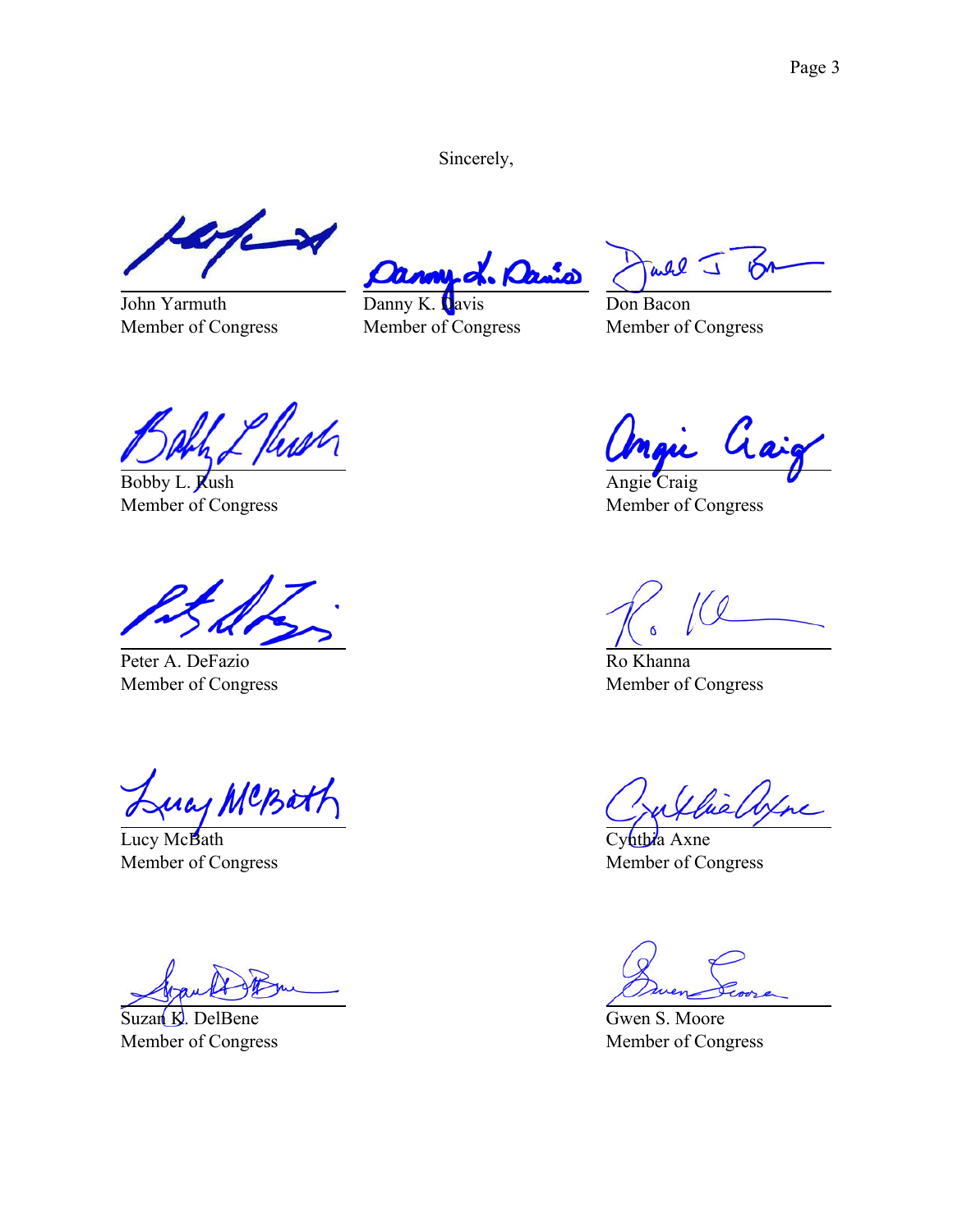Sincerely,

 $\rightarrow$ 

John Yarmuth Member of Congress

Danis n.

Danny K. Davis Member of Congress

all J ЮЛ

Don Bacon Member of Congress

<u>l flus</u>n

Bobby L. Rush Member of Congress

Peter A. DeFazio Member of Congress

Luay MCBatt

Lucy McBath Member of Congress

Suzan K. DelBene Member of Congress

Gai Mau.

Angie Craig Member of Congress

Ro Khanna Member of Congress

hiallyne

Cyhthia Axne Member of Congress

Gwen S. Moore Member of Congress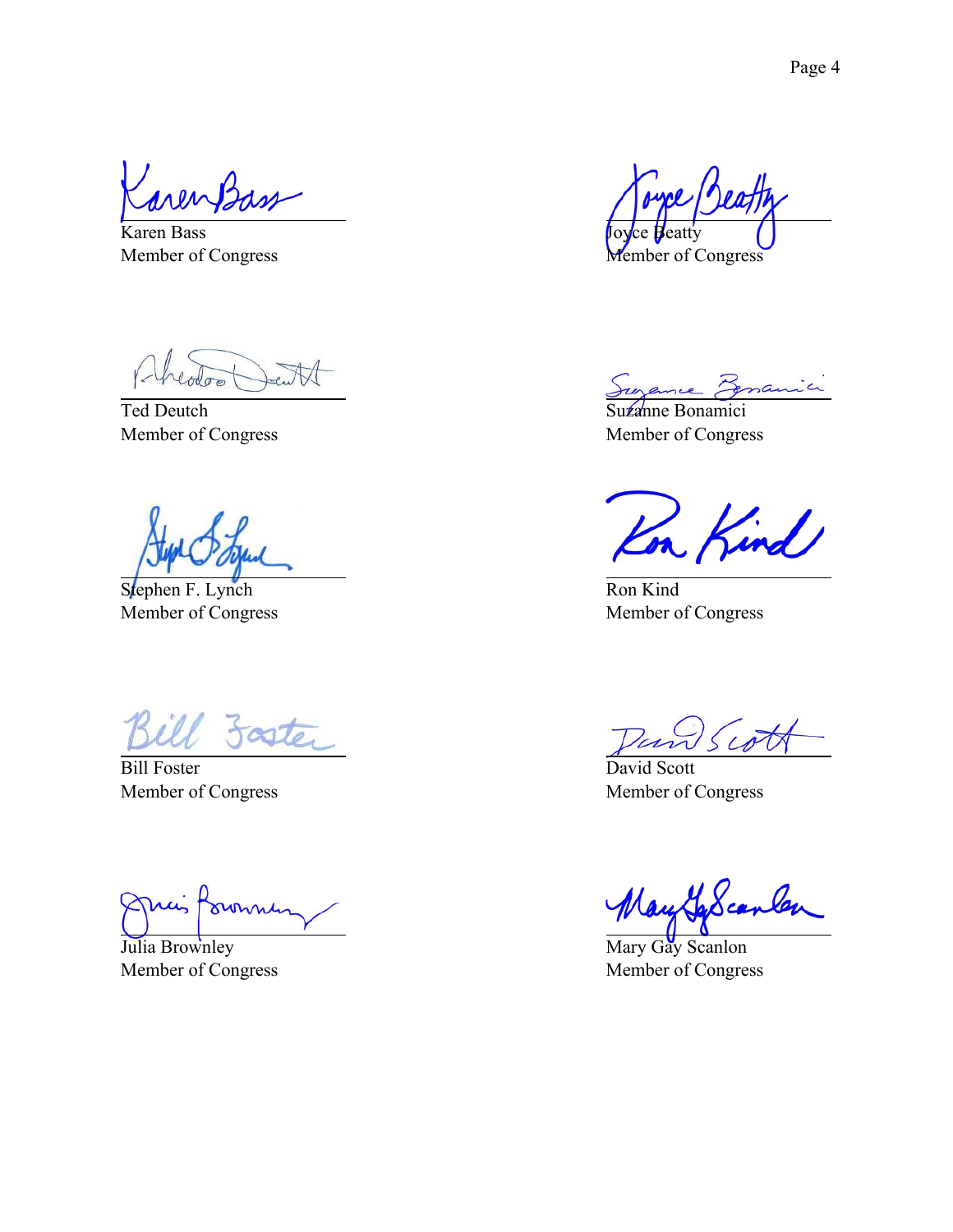Karen Bass Member of Congress

Ted Deutch Member of Congress

Stephen F. Lynch Member of Congress

Foster

Bill Foster Member of Congress

frommen min

Julia Brownley Member of Congress

Joyce Beatty Member of Congress

Sugame Benamici

Suzanne Bonamici Member of Congress

n Kind

Ron Kind Member of Congress

Tan Scot

David Scott Member of Congress

May GaScanler

Mary Gay Scanlon Member of Congress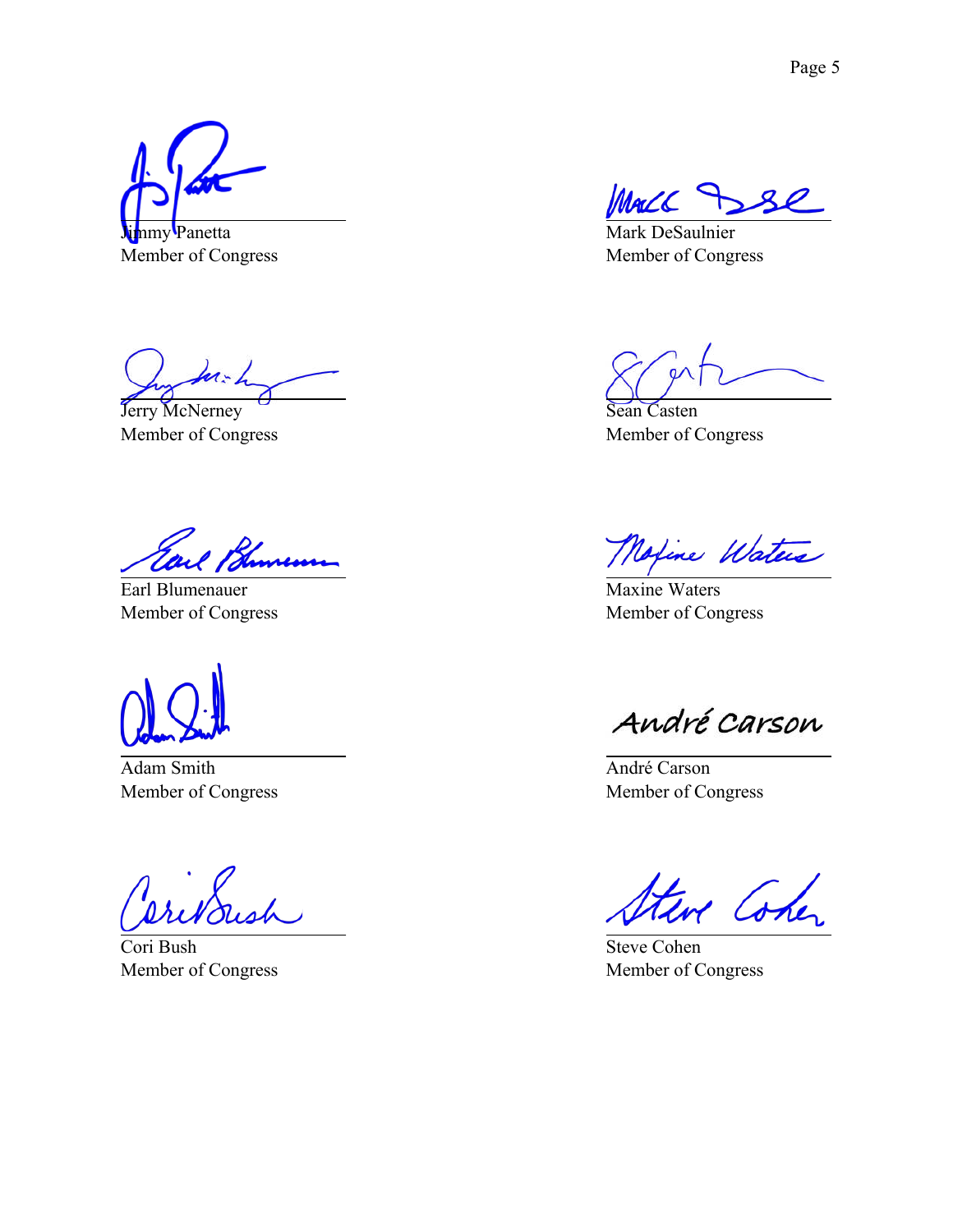nmy Panetta

Member of Congress

kn: L

Jerry McNerney Member of Congress

Kunemu

Earl Blumenauer Member of Congress

Adam Smith Member of Congress

Cori Bush Member of Congress

Mark DeSaulnier Member of Congress

Sean Casten Member of Congress

Moxine Waters

Maxine Waters Member of Congress

André Carson

André Carson Member of Congress

· Cohe

Steve Cohen Member of Congress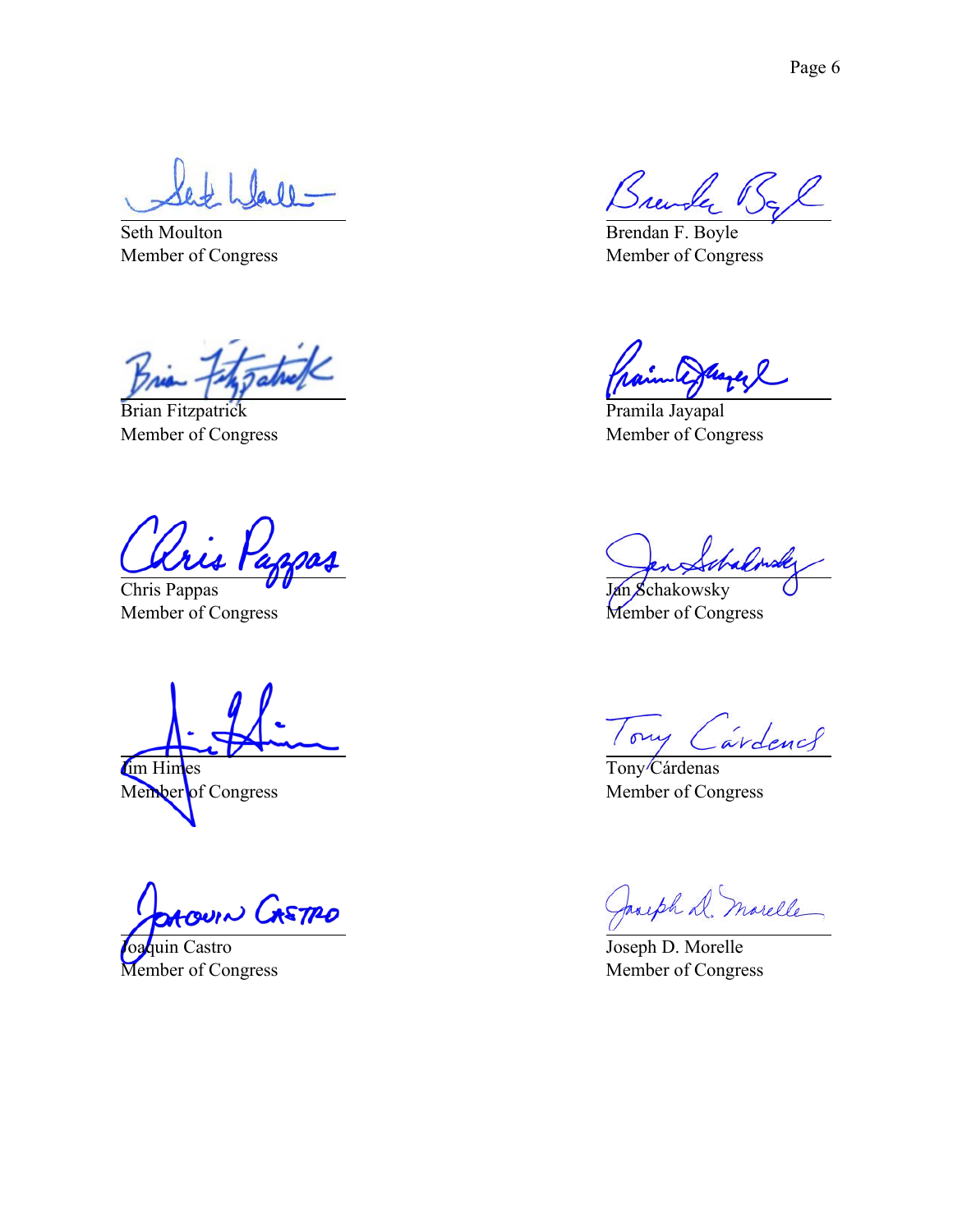laill-

Seth Moulton Member of Congress

rio

Brian Fitzpatrick Member of Congress

'<br>ris

Chris Pappas Member of Congress

Im Himes Member of Congress

ouin CASTRO

Joaquin Castro Member of Congress

Brewly Bl

Brendan F. Boyle Member of Congress

Pramila Jayapal Member of Congress

Labres

Jan Schakowsky Member of Congress

Tony Cardence

Tony<sup>/</sup>Cárdenas Member of Congress

Jacoph D. marelle

Joseph D. Morelle Member of Congress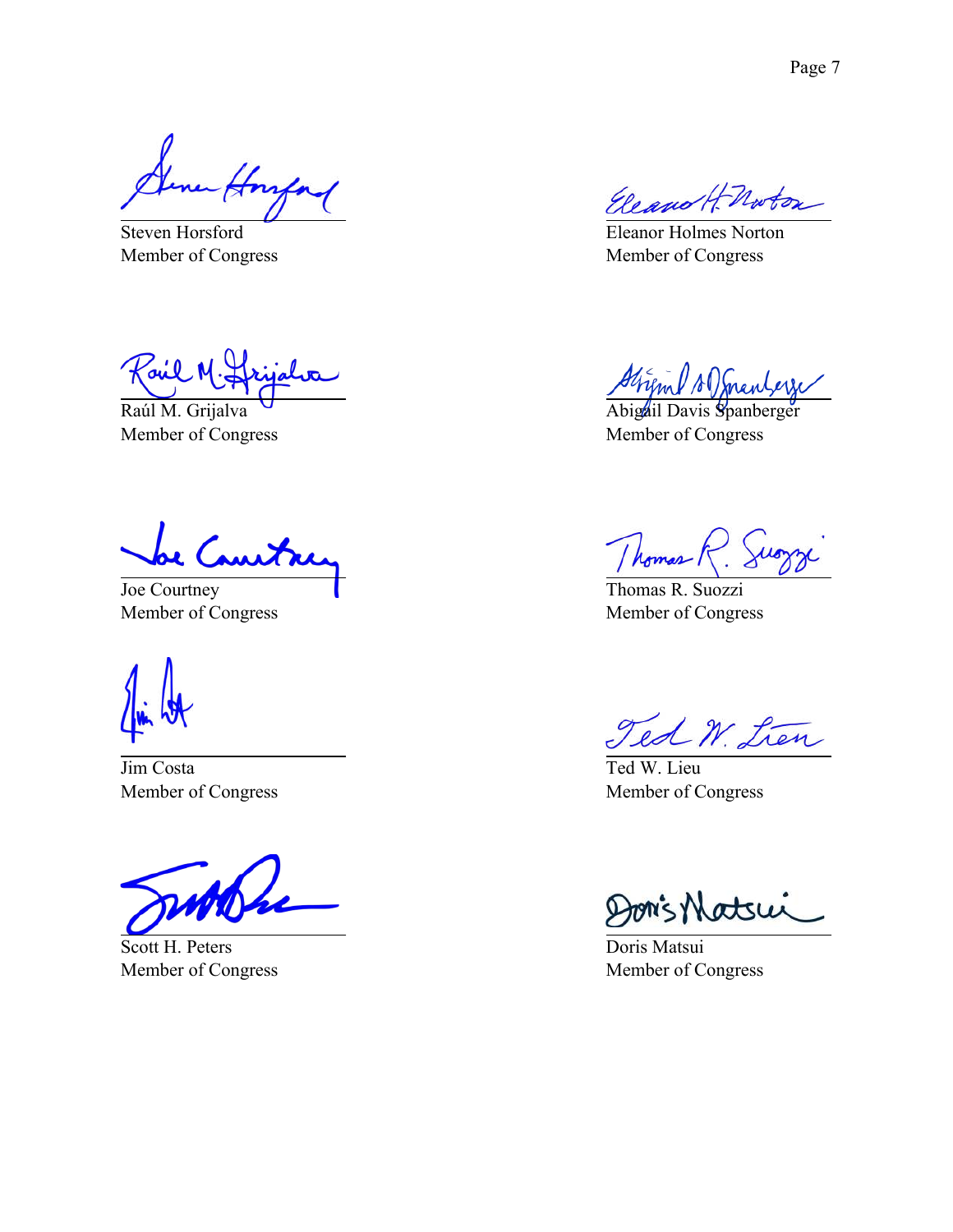a Honfor

Steven Horsford Member of Congress

Joil

Raúl M. Grijalva Member of Congress

Joe Courtney Member of Congress

Jim Costa Member of Congress

Scott H. Peters Member of Congress

Eleano H. Norton

Eleanor Holmes Norton Member of Congress

Strind A mentern

Abigail Davis Spanberger Member of Congress

/ homes

Thomas R. Suozzi Member of Congress

Ted W. Lien

Ted W. Lieu Member of Congress

Jon's Matsui

Doris Matsui Member of Congress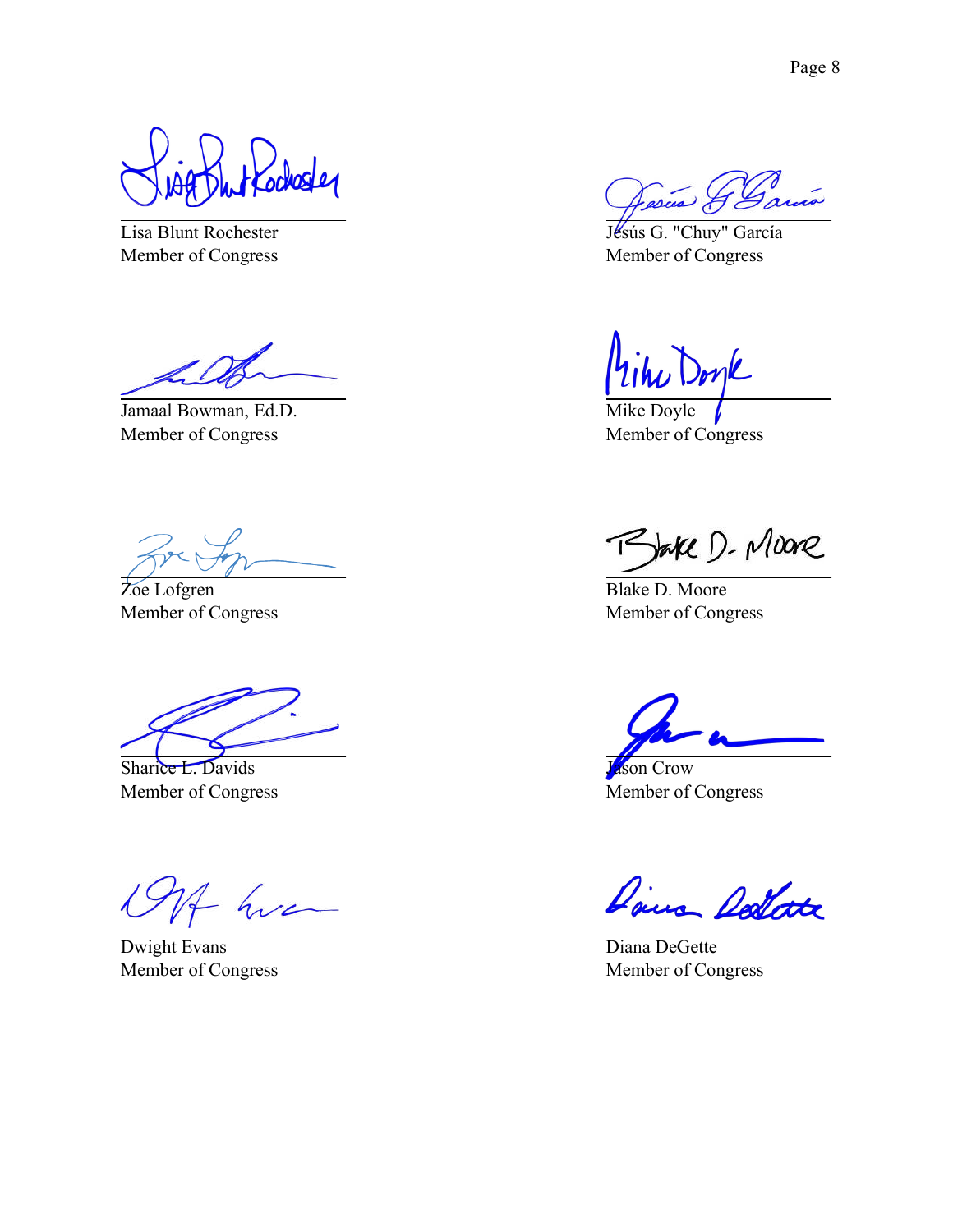ochoster

Lisa Blunt Rochester Member of Congress

Jamaal Bowman, Ed.D. Member of Congress

Zoe Lofgren Member of Congress

Sharice L. Davids Member of Congress

hva

Dwight Evans Member of Congress

Jésús G. "Chuy" García Member of Congress

mk

Mike Doyle Member of Congress

Bake D. Moore

Blake D. Moore Member of Congress

Jason Crow Member of Congress

Daira Dellate

Diana DeGette Member of Congress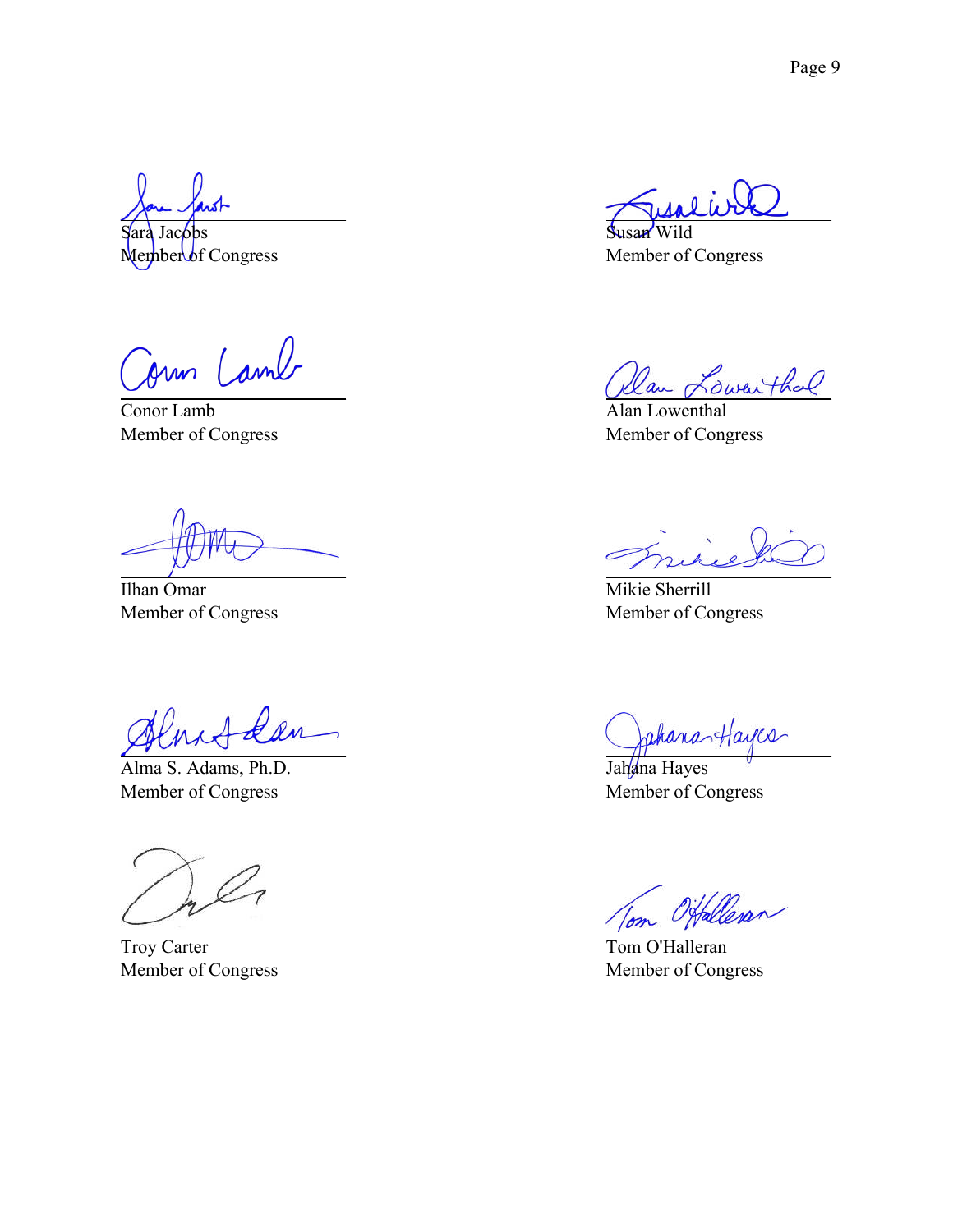Sara Jacobs  $M$ ember of Congress

Jun Camb

Conor Lamb Member of Congress

Ilhan Omar Member of Congress

Alma S. Adams, Ph.D. Member of Congress

Troy Carter Member of Congress

Susan Wild Member of Congress

Dan Lowenthal

Alan Lowenthal Member of Congress

Mikie Sherrill Member of Congress

JakanasHayces

Jahana Hayes Member of Congress

Tom O'Halleran Member of Congress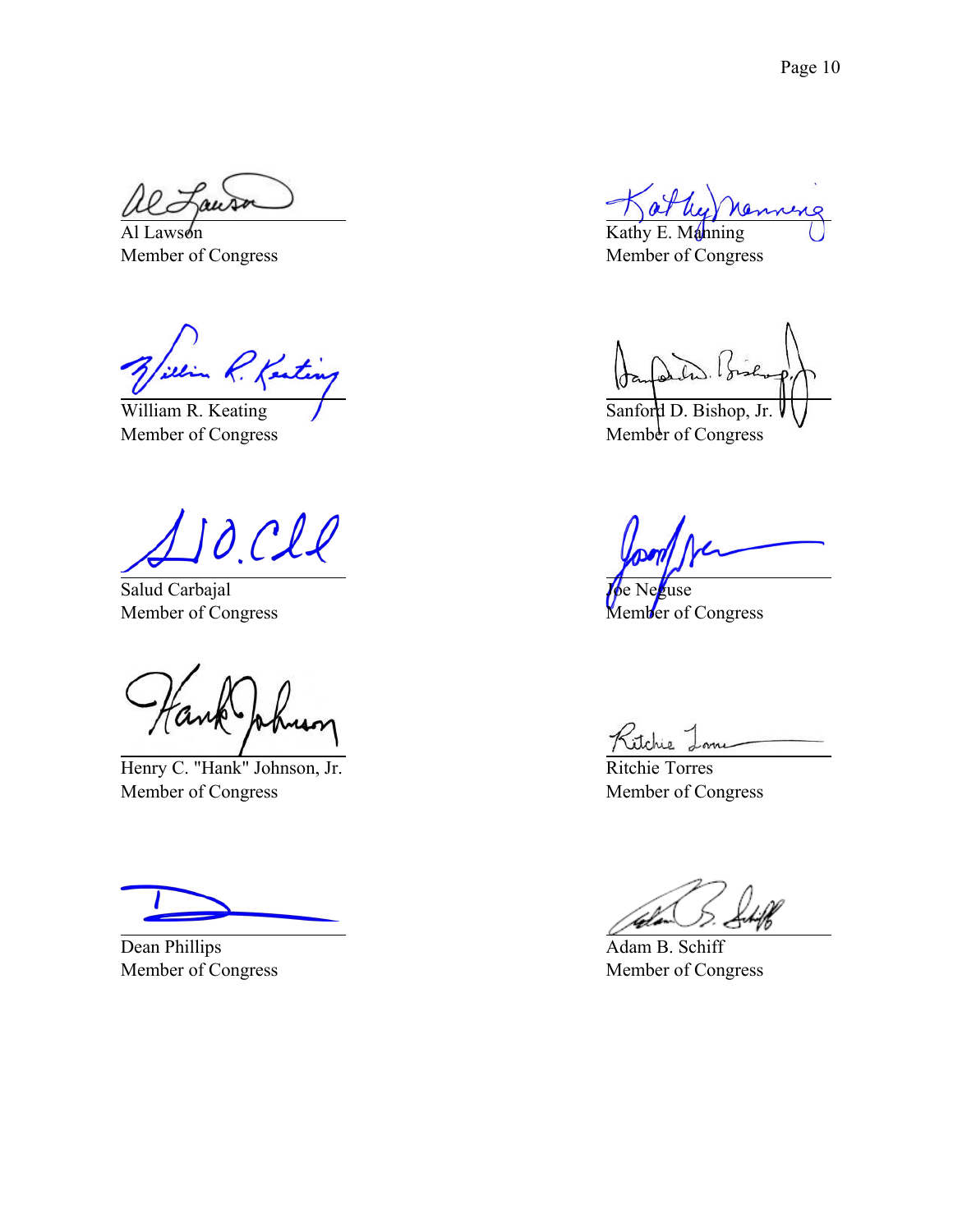Al Lawson Member of Congress

R. Kenting

William R. Keating Member of Congress

O.CIl

Salud Carbajal Member of Congress

Henry C. "Hank" Johnson, Jr. Member of Congress

Dean Phillips Member of Congress

Kathy E. Manning Member of Congress

Sanford D. Bishop, Jr. Member of Congress

kuse Member of Congress

Ritchie Lone

Ritchie Torres Member of Congress

Adam B. Schiff Member of Congress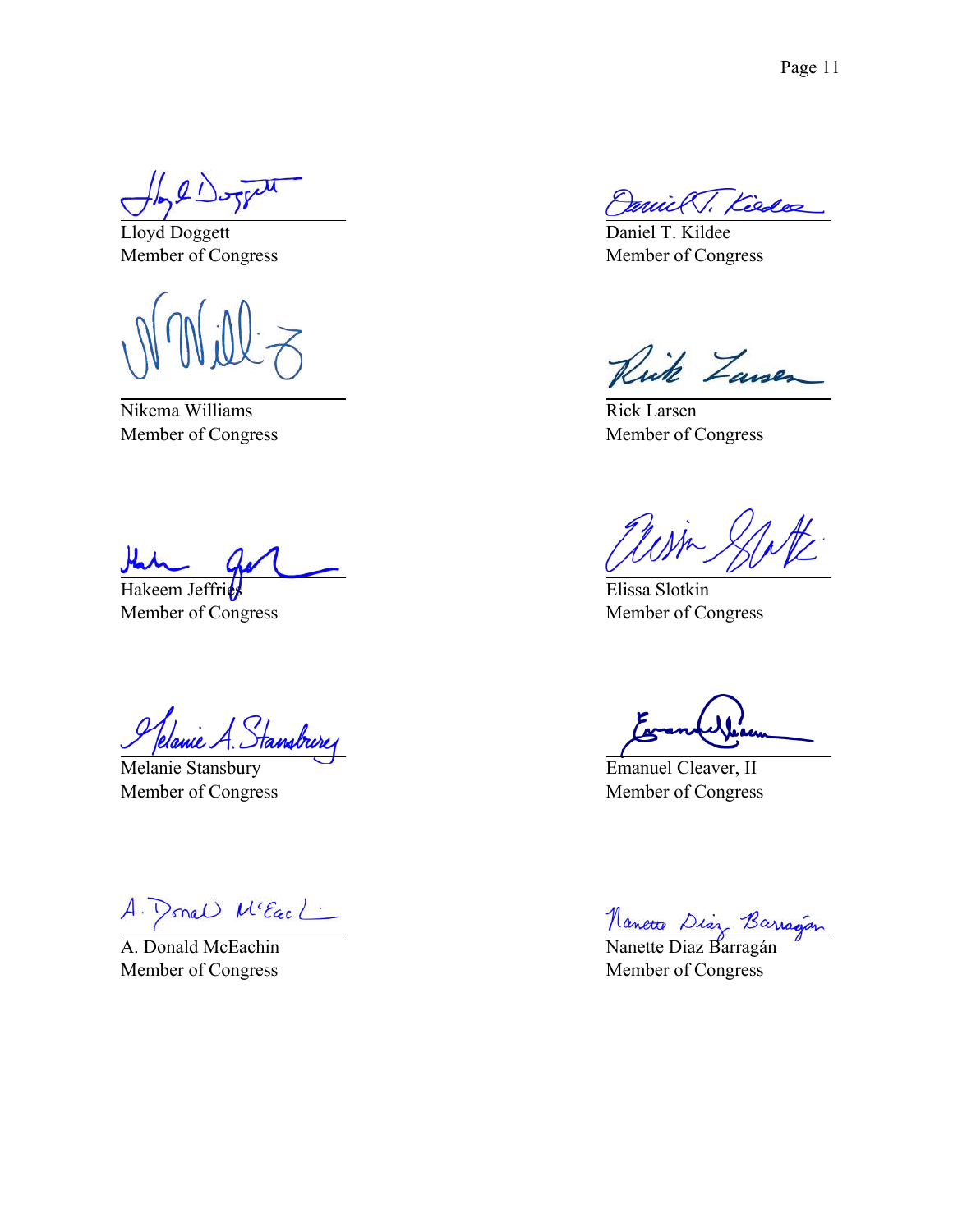$\sqrt{2}$ 

Lloyd Doggett Member of Congress

Nikema Williams Member of Congress

Hakeem Jeffries Member of Congress

Jelanie A. Stansbure

Melanie Stansbury Member of Congress

A. Ponel Me Each

A. Donald McEachin Member of Congress

ruick V. Kiedez

Daniel T. Kildee Member of Congress

Rick Zausen

Rick Larsen Member of Congress

Elissa Slotkin Member of Congress

Emanuel Cleaver, II Member of Congress

<u>Nanette</u> Diaz Barragán

Member of Congress